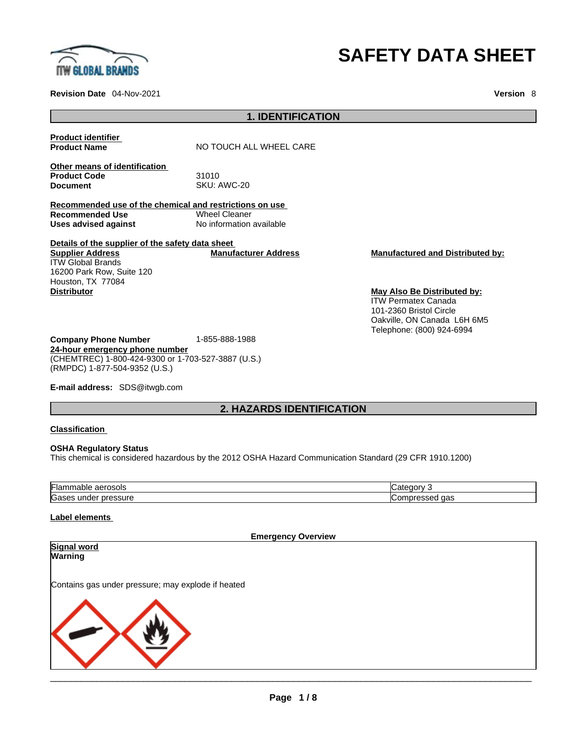

**Revision Date** 04-Nov-2021 **Version** 8

# **SAFETY DATA SHEET**

|                                                                                                                                      | <b>1. IDENTIFICATION</b>                         |                                                                                      |  |
|--------------------------------------------------------------------------------------------------------------------------------------|--------------------------------------------------|--------------------------------------------------------------------------------------|--|
| <b>Product identifier</b><br><b>Product Name</b>                                                                                     | NO TOUCH ALL WHEEL CARE                          |                                                                                      |  |
| Other means of identification<br><b>Product Code</b><br><b>Document</b>                                                              | 31010<br>SKU: AWC-20                             |                                                                                      |  |
| Recommended use of the chemical and restrictions on use<br><b>Recommended Use</b><br>Uses advised against                            | <b>Wheel Cleaner</b><br>No information available |                                                                                      |  |
| Details of the supplier of the safety data sheet<br><b>Supplier Address</b><br><b>ITW Global Brands</b><br>16200 Park Row, Suite 120 | <b>Manufacturer Address</b>                      | <b>Manufactured and Distributed by:</b>                                              |  |
| Houston, TX 77084<br><b>Distributor</b>                                                                                              |                                                  | May Also Be Distributed by:<br><b>ITW Permatex Canada</b><br>101-2360 Bristol Circle |  |
| <b>Company Phone Number</b>                                                                                                          | 1-855-888-1988                                   | Oakville, ON Canada L6H 6M5<br>Telephone: (800) 924-6994                             |  |

**E-mail address:** SDS@itwgb.com

(RMPDC) 1-877-504-9352 (U.S.)

**24-hour emergency phone number**

(CHEMTREC) 1-800-424-9300 or 1-703-527-3887 (U.S.)

# **2. HAZARDS IDENTIFICATION**

### **Classification**

#### **OSHA Regulatory Status**

This chemical is considered hazardous by the 2012 OSHA Hazard Communication Standard (29 CFR 1910.1200)

| aerosols<br>nabie<br>ıаı<br>ш  | זו<br>и<br>                         |
|--------------------------------|-------------------------------------|
| ∽<br>pressure<br>ס בי<br>under | $\sim$<br>∪on<br>uas<br>ישו.<br>www |

# **Label elements**

**Emergency Overview Signal word Warning**  Contains gas under pressure; may explode if heated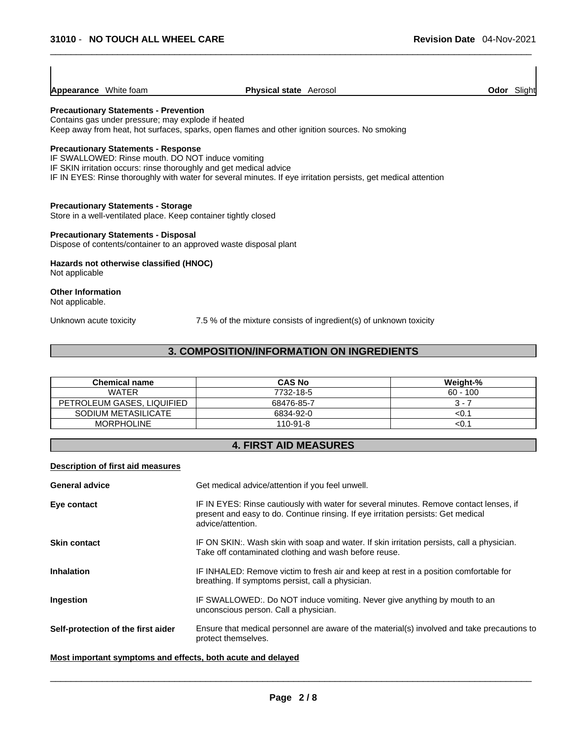| <b>Appearance</b> White foam | <b>Physical state</b> Aerosol |
|------------------------------|-------------------------------|
|                              |                               |

# **Precautionary Statements - Prevention**

Contains gas under pressure; may explode if heated Keep away from heat, hot surfaces, sparks, open flames and other ignition sources. No smoking

### **Precautionary Statements - Response**

IF SWALLOWED: Rinse mouth. DO NOT induce vomiting IF SKIN irritation occurs: rinse thoroughly and get medical advice IF IN EYES: Rinse thoroughly with water for several minutes. If eye irritation persists, get medical attention

#### **Precautionary Statements - Storage**

Store in a well-ventilated place. Keep container tightly closed

#### **Precautionary Statements - Disposal**

Dispose of contents/container to an approved waste disposal plant

# **Hazards not otherwise classified (HNOC)**

Not applicable

#### **Other Information**  Not applicable.

Unknown acute toxicity 7.5 % of the mixture consists of ingredient(s) of unknown toxicity

# **3. COMPOSITION/INFORMATION ON INGREDIENTS**

| <b>Chemical name</b>       | <b>CAS No</b> | Weight-%   |
|----------------------------|---------------|------------|
| <b>WATER</b>               | 7732-18-5     | $60 - 100$ |
| PETROLEUM GASES, LIQUIFIED | 68476-85-7    | 3 - 7      |
| SODIUM METASILICATE        | 6834-92-0     | <0.1       |
| <b>MORPHOLINE</b>          | 110-91-8      | <0.′       |

# **4. FIRST AID MEASURES**

#### **Description of first aid measures**

| <b>General advice</b>              | Get medical advice/attention if you feel unwell.                                                                                                                                                 |
|------------------------------------|--------------------------------------------------------------------------------------------------------------------------------------------------------------------------------------------------|
| Eye contact                        | IF IN EYES: Rinse cautiously with water for several minutes. Remove contact lenses, if<br>present and easy to do. Continue rinsing. If eye irritation persists: Get medical<br>advice/attention. |
| <b>Skin contact</b>                | IF ON SKIN:. Wash skin with soap and water. If skin irritation persists, call a physician.<br>Take off contaminated clothing and wash before reuse.                                              |
| <b>Inhalation</b>                  | IF INHALED: Remove victim to fresh air and keep at rest in a position comfortable for<br>breathing. If symptoms persist, call a physician.                                                       |
| <b>Ingestion</b>                   | IF SWALLOWED:. Do NOT induce vomiting. Never give anything by mouth to an<br>unconscious person. Call a physician.                                                                               |
| Self-protection of the first aider | Ensure that medical personnel are aware of the material(s) involved and take precautions to<br>protect themselves.                                                                               |
|                                    |                                                                                                                                                                                                  |

#### **Most important symptoms and effects, both acute and delayed**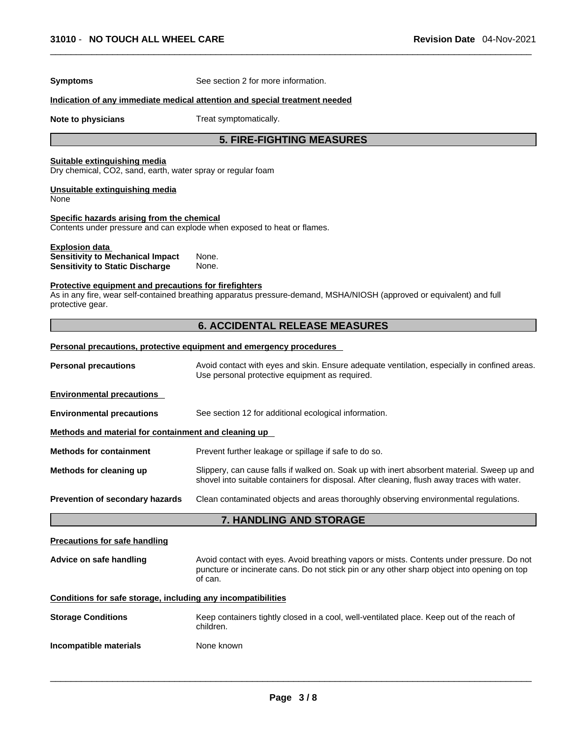| <b>Symptoms</b>                                                                                            | See section 2 for more information.                                                                                                                                                                 |
|------------------------------------------------------------------------------------------------------------|-----------------------------------------------------------------------------------------------------------------------------------------------------------------------------------------------------|
|                                                                                                            | Indication of any immediate medical attention and special treatment needed                                                                                                                          |
| Note to physicians                                                                                         | Treat symptomatically.                                                                                                                                                                              |
|                                                                                                            | <b>5. FIRE-FIGHTING MEASURES</b>                                                                                                                                                                    |
| Suitable extinguishing media<br>Dry chemical, CO2, sand, earth, water spray or regular foam                |                                                                                                                                                                                                     |
| Unsuitable extinguishing media<br>None                                                                     |                                                                                                                                                                                                     |
| Specific hazards arising from the chemical                                                                 | Contents under pressure and can explode when exposed to heat or flames.                                                                                                                             |
| <b>Explosion data</b><br><b>Sensitivity to Mechanical Impact</b><br><b>Sensitivity to Static Discharge</b> | None.<br>None.                                                                                                                                                                                      |
| Protective equipment and precautions for firefighters<br>protective gear.                                  | As in any fire, wear self-contained breathing apparatus pressure-demand, MSHA/NIOSH (approved or equivalent) and full                                                                               |
|                                                                                                            | <b>6. ACCIDENTAL RELEASE MEASURES</b>                                                                                                                                                               |
|                                                                                                            | Personal precautions, protective equipment and emergency procedures                                                                                                                                 |
| <b>Personal precautions</b>                                                                                | Avoid contact with eyes and skin. Ensure adequate ventilation, especially in confined areas.<br>Use personal protective equipment as required.                                                      |
| <b>Environmental precautions</b>                                                                           |                                                                                                                                                                                                     |
| <b>Environmental precautions</b>                                                                           | See section 12 for additional ecological information.                                                                                                                                               |
| Methods and material for containment and cleaning up                                                       |                                                                                                                                                                                                     |
| <b>Methods for containment</b>                                                                             | Prevent further leakage or spillage if safe to do so.                                                                                                                                               |
| Methods for cleaning up                                                                                    | Slippery, can cause falls if walked on. Soak up with inert absorbent material. Sweep up and<br>shovel into suitable containers for disposal. After cleaning, flush away traces with water.          |
| Prevention of secondary hazards                                                                            | Clean contaminated objects and areas thoroughly observing environmental regulations.                                                                                                                |
|                                                                                                            | 7. HANDLING AND STORAGE                                                                                                                                                                             |
| <b>Precautions for safe handling</b>                                                                       |                                                                                                                                                                                                     |
| Advice on safe handling                                                                                    | Avoid contact with eyes. Avoid breathing vapors or mists. Contents under pressure. Do not<br>puncture or incinerate cans. Do not stick pin or any other sharp object into opening on top<br>of can. |
| Conditions for safe storage, including any incompatibilities                                               |                                                                                                                                                                                                     |
| <b>Storage Conditions</b>                                                                                  | Keep containers tightly closed in a cool, well-ventilated place. Keep out of the reach of<br>children.                                                                                              |
| Incompatible materials                                                                                     | None known                                                                                                                                                                                          |
|                                                                                                            |                                                                                                                                                                                                     |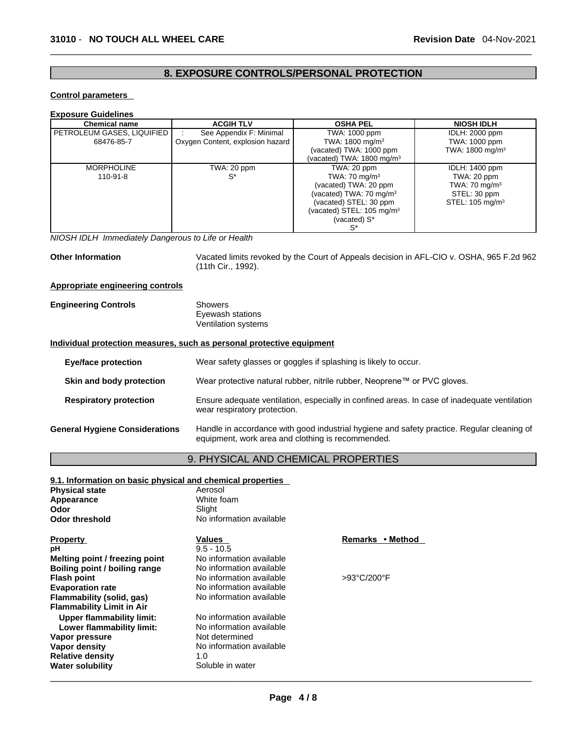# **8. EXPOSURE CONTROLS/PERSONAL PROTECTION**

#### **Control parameters**

#### **Exposure Guidelines**

| <b>Chemical name</b>       | <b>ACGIH TLV</b>                 | <b>OSHA PEL</b>                       | <b>NIOSH IDLH</b>           |
|----------------------------|----------------------------------|---------------------------------------|-----------------------------|
| PETROLEUM GASES, LIQUIFIED | See Appendix F: Minimal          | TWA: 1000 ppm                         | IDLH: 2000 ppm              |
| 68476-85-7                 | Oxygen Content, explosion hazard | TWA: 1800 mg/m <sup>3</sup>           | TWA: 1000 ppm               |
|                            |                                  | (vacated) TWA: 1000 ppm               | TWA: 1800 mg/m <sup>3</sup> |
|                            |                                  | (vacated) TWA: 1800 mg/m $3$          |                             |
| <b>MORPHOLINE</b>          | TWA: 20 ppm                      | TWA: 20 ppm                           | IDLH: 1400 ppm              |
| $110-91-8$                 | S*                               | TWA: $70 \text{ mg/m}^3$              | TWA: 20 ppm                 |
|                            |                                  | (vacated) TWA: 20 ppm                 | TWA: $70 \text{ mg/m}^3$    |
|                            |                                  | (vacated) TWA: 70 mg/m <sup>3</sup>   | STEL: 30 ppm                |
|                            |                                  | (vacated) STEL: 30 ppm                | STEL: 105 mg/m <sup>3</sup> |
|                            |                                  | (vacated) STEL: 105 mg/m <sup>3</sup> |                             |
|                            |                                  | (vacated) S*                          |                             |
|                            |                                  | S*                                    |                             |

# *NIOSH IDLH Immediately Dangerous to Life or Health*

Other Information **Vacated limits revoked by the Court of Appeals decision in AFL-CIO v. OSHA, 965 F.2d 962** (11th Cir., 1992).

#### **Appropriate engineering controls**

| <b>Engineering Controls</b> | Showers             |
|-----------------------------|---------------------|
|                             | Eyewash stations    |
|                             | Ventilation systems |

### **Individual protection measures, such as personal protective equipment**

| <b>Eye/face protection</b>            | Wear safety glasses or goggles if splashing is likely to occur.                                                                                 |
|---------------------------------------|-------------------------------------------------------------------------------------------------------------------------------------------------|
| Skin and body protection              | Wear protective natural rubber, nitrile rubber, Neoprene™ or PVC gloves.                                                                        |
| <b>Respiratory protection</b>         | Ensure adequate ventilation, especially in confined areas. In case of inadequate ventilation<br>wear respiratory protection.                    |
| <b>General Hygiene Considerations</b> | Handle in accordance with good industrial hygiene and safety practice. Regular cleaning of<br>equipment, work area and clothing is recommended. |

# 9. PHYSICAL AND CHEMICAL PROPERTIES

| 9.1. Information on basic physical and chemical properties |                          |                  |
|------------------------------------------------------------|--------------------------|------------------|
| <b>Physical state</b>                                      | Aerosol                  |                  |
| Appearance                                                 | White foam               |                  |
| Odor                                                       | Slight                   |                  |
| Odor threshold                                             | No information available |                  |
| <b>Property</b>                                            | Values                   | Remarks • Method |
| pН                                                         | $9.5 - 10.5$             |                  |
| Melting point / freezing point                             | No information available |                  |
| Boiling point / boiling range                              | No information available |                  |
| Flash point                                                | No information available | >93°C/200°F      |
| <b>Evaporation rate</b>                                    | No information available |                  |
| Flammability (solid, qas)                                  | No information available |                  |
| <b>Flammability Limit in Air</b>                           |                          |                  |
| Upper flammability limit:                                  | No information available |                  |
| Lower flammability limit:                                  | No information available |                  |
| Vapor pressure                                             | Not determined           |                  |
| Vapor densitv                                              | No information available |                  |
| <b>Relative density</b>                                    | 1.0                      |                  |
| Water solubility                                           | Soluble in water         |                  |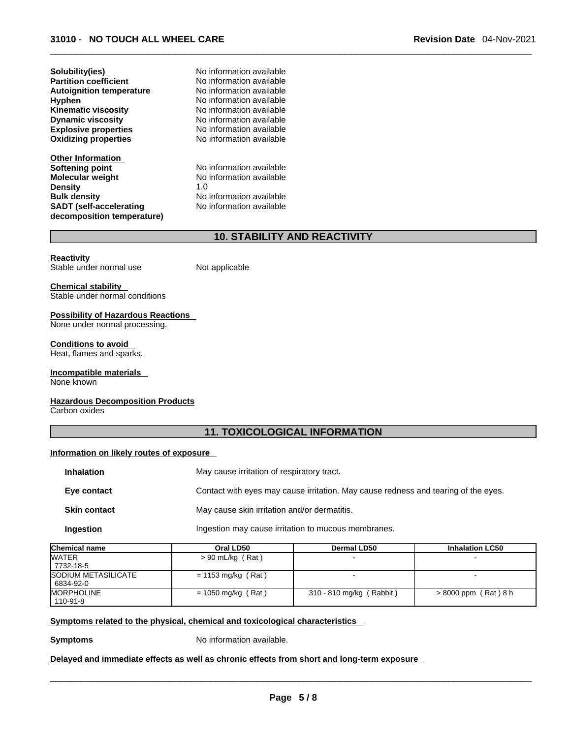**Other Information Softening point** No information available **Molecular weight** No information available **Density** 1.0 **Bulk density No information available SADT (self-accelerating decomposition temperature)**

**Solubility(ies)** No information available

No information available

# **10. STABILITY AND REACTIVITY**

#### **Reactivity**

Not applicable

**Chemical stability**  Stable under normal conditions

Stable under normal use

**Possibility of Hazardous Reactions**  None under normal processing.

**Conditions to avoid** 

Heat, flames and sparks.

#### **Incompatible materials**

None known

#### **Hazardous Decomposition Products**

Carbon oxides

# **11. TOXICOLOGICAL INFORMATION**

#### **Information on likely routes of exposure**

| <b>Inhalation</b>   | May cause irritation of respiratory tract.                                         |
|---------------------|------------------------------------------------------------------------------------|
| Eye contact         | Contact with eyes may cause irritation. May cause redness and tearing of the eyes. |
| <b>Skin contact</b> | May cause skin irritation and/or dermatitis.                                       |
| Ingestion           | Ingestion may cause irritation to mucous membranes.                                |

| Chemical name              | Oral LD50            | <b>Dermal LD50</b>       | <b>Inhalation LC50</b> |
|----------------------------|----------------------|--------------------------|------------------------|
| <b>WATER</b>               | $> 90$ mL/kg (Rat)   |                          |                        |
| 7732-18-5                  |                      |                          |                        |
| <b>SODIUM METASILICATE</b> | $= 1153$ mg/kg (Rat) |                          |                        |
| 6834-92-0                  |                      |                          |                        |
| <b>MORPHOLINE</b>          | $= 1050$ mg/kg (Rat) | 310 - 810 mg/kg (Rabbit) | > 8000 ppm (Rat) 8 h   |
| 110-91-8                   |                      |                          |                        |

#### **<u>Symptoms related to the physical, chemical and toxicological characteristics</u>**

**Symptoms** No information available.

#### **Delayed and immediate effects as well as chronic effects from short and long-term exposure**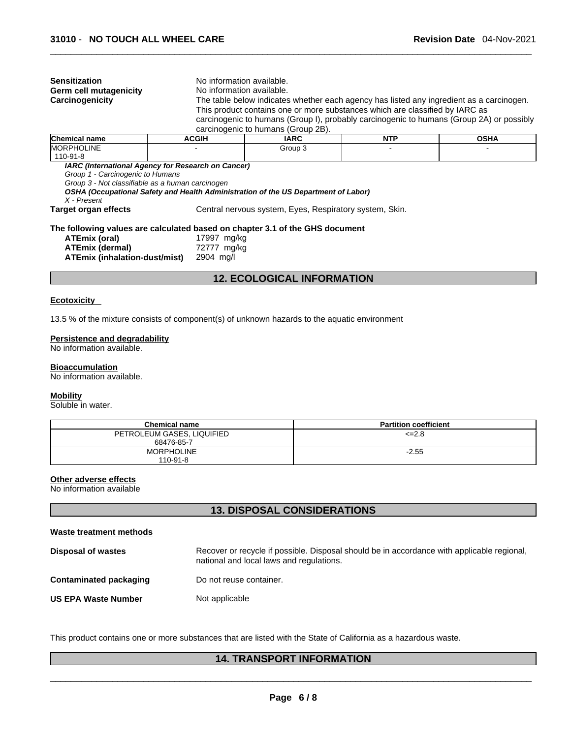| <b>Sensitization</b>                                                                                  | No information available. |                                                                                          |            |             |  |  |  |
|-------------------------------------------------------------------------------------------------------|---------------------------|------------------------------------------------------------------------------------------|------------|-------------|--|--|--|
| Germ cell mutagenicity                                                                                | No information available. |                                                                                          |            |             |  |  |  |
| Carcinogenicity                                                                                       |                           | The table below indicates whether each agency has listed any ingredient as a carcinogen. |            |             |  |  |  |
|                                                                                                       |                           | This product contains one or more substances which are classified by IARC as             |            |             |  |  |  |
|                                                                                                       |                           | carcinogenic to humans (Group I), probably carcinogenic to humans (Group 2A) or possibly |            |             |  |  |  |
|                                                                                                       |                           | carcinogenic to humans (Group 2B).                                                       |            |             |  |  |  |
| Chemical name                                                                                         | <b>ACGIH</b>              | <b>IARC</b>                                                                              | <b>NTP</b> | <b>OSHA</b> |  |  |  |
| MORPHOLINE<br>110-91-8                                                                                |                           | Group 3                                                                                  |            |             |  |  |  |
| Group 1 - Carcinogenic to Humans<br>Group 3 - Not classifiable as a human carcinogen<br>$X$ - Present |                           | OSHA (Occupational Safety and Health Administration of the US Department of Labor)       |            |             |  |  |  |
| Target organ effects                                                                                  |                           | Central nervous system, Eyes, Respiratory system, Skin.                                  |            |             |  |  |  |
| ATEmix (oral)                                                                                         | 17997 mg/kg               | The following values are calculated based on chapter 3.1 of the GHS document             |            |             |  |  |  |
| ATEmix (dermal)<br>ATEmix (inhalation-dust/mist)                                                      | 72777 mg/kg<br>2904 mg/l  |                                                                                          |            |             |  |  |  |
|                                                                                                       |                           | <b>12. ECOLOGICAL INFORMATION</b>                                                        |            |             |  |  |  |
|                                                                                                       |                           |                                                                                          |            |             |  |  |  |

#### **Ecotoxicity**

13.5 % of the mixture consists of component(s) of unknown hazards to the aquatic environment

# **Persistence and degradability**

No information available.

#### **Bioaccumulation**

No information available.

# **Mobility**

Soluble in water.

| <b>Chemical name</b>                     | <b>Partition coefficient</b> |
|------------------------------------------|------------------------------|
| PETROLEUM GASES, LIQUIFIED<br>68476-85-7 | $\leq$ -2.8                  |
| <b>MORPHOLINE</b><br>$110 - 91 - 8$      | $-2.55$                      |

#### **Other adverse effects**

No information available

# **13. DISPOSAL CONSIDERATIONS**

### **Waste treatment methods**

| Disposal of wastes         | Recover or recycle if possible. Disposal should be in accordance with applicable regional,<br>national and local laws and regulations. |
|----------------------------|----------------------------------------------------------------------------------------------------------------------------------------|
| Contaminated packaging     | Do not reuse container.                                                                                                                |
| <b>US EPA Waste Number</b> | Not applicable                                                                                                                         |

This product contains one or more substances that are listed with the State of California as a hazardous waste.

# **14. TRANSPORT INFORMATION**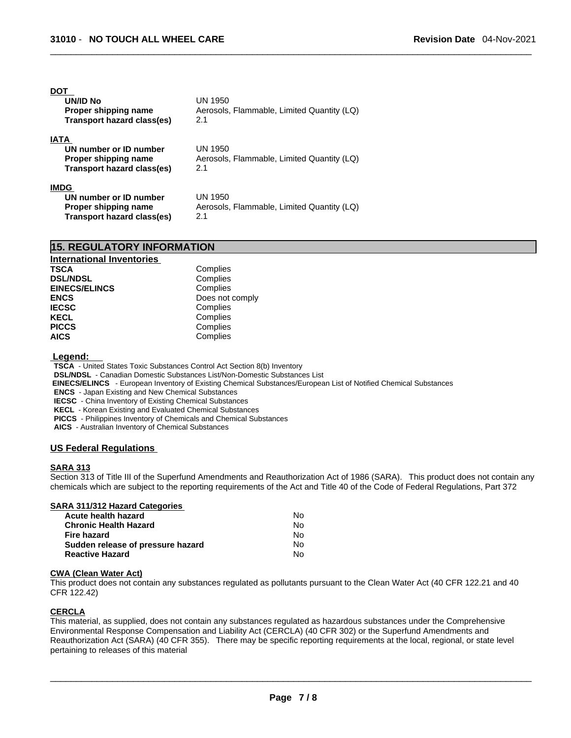#### **DOT**

| UN/ID No                   | UN 1950                                    |
|----------------------------|--------------------------------------------|
| Proper shipping name       | Aerosols, Flammable, Limited Quantity (LQ) |
| Transport hazard class(es) | 2.1                                        |
|                            |                                            |
| IATA                       |                                            |

| UN number or ID number     | UN 1950                                    |
|----------------------------|--------------------------------------------|
| Proper shipping name       | Aerosols, Flammable, Limited Quantity (LQ) |
| Transport hazard class(es) | 2.1                                        |
| <b>IMDG</b>                |                                            |

| UN number or ID number     | UN 1950                                    |
|----------------------------|--------------------------------------------|
| Proper shipping name       | Aerosols, Flammable, Limited Quantity (LQ) |
| Transport hazard class(es) | 2.1                                        |

| <b>15. REGULATORY INFORMATION</b> |                 |  |  |
|-----------------------------------|-----------------|--|--|
| <b>International Inventories</b>  |                 |  |  |
| <b>TSCA</b>                       | Complies        |  |  |
| <b>DSL/NDSL</b>                   | Complies        |  |  |
| <b>EINECS/ELINCS</b>              | Complies        |  |  |
| <b>ENCS</b>                       | Does not comply |  |  |
| <b>IECSC</b>                      | Complies        |  |  |
| <b>KECL</b>                       | Complies        |  |  |
| <b>PICCS</b>                      | Complies        |  |  |
| <b>AICS</b>                       | Complies        |  |  |

#### **Legend:**

**TSCA** - United States Toxic Substances Control Act Section 8(b) Inventory

**DSL/NDSL** - Canadian Domestic Substances List/Non-Domestic Substances List

 **EINECS/ELINCS** - European Inventory of Existing Chemical Substances/European List of Notified Chemical Substances

**ENCS** - Japan Existing and New Chemical Substances

**IECSC** - China Inventory of Existing Chemical Substances

**KECL** - Korean Existing and Evaluated Chemical Substances

**PICCS** - Philippines Inventory of Chemicals and Chemical Substances

**AICS** - Australian Inventory of Chemical Substances

# **US Federal Regulations**

#### **SARA 313**

Section 313 of Title III of the Superfund Amendments and Reauthorization Act of 1986 (SARA). This product does not contain any chemicals which are subject to the reporting requirements of the Act and Title 40 of the Code of Federal Regulations, Part 372

### **SARA 311/312 Hazard Categories**

| Acute health hazard               | No |
|-----------------------------------|----|
| <b>Chronic Health Hazard</b>      | No |
| Fire hazard                       | No |
| Sudden release of pressure hazard | No |
| <b>Reactive Hazard</b>            | N٥ |

#### **CWA** (Clean Water Act)

This product does not contain any substances regulated as pollutants pursuant to the Clean Water Act (40 CFR 122.21 and 40 CFR 122.42)

#### **CERCLA**

This material, as supplied, does not contain any substances regulated as hazardous substances under the Comprehensive Environmental Response Compensation and Liability Act (CERCLA) (40 CFR 302) or the Superfund Amendments and Reauthorization Act (SARA) (40 CFR 355). There may be specific reporting requirements at the local, regional, or state level pertaining to releases of this material